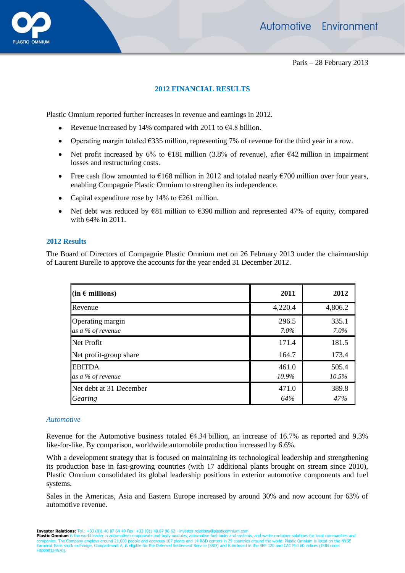

Paris – 28 February 2013

## **2012 FINANCIAL RESULTS**

Plastic Omnium reported further increases in revenue and earnings in 2012.

- Revenue increased by 14% compared with 2011 to  $64.8$  billion.
- Operating margin totaled  $\epsilon$ 335 million, representing 7% of revenue for the third year in a row.
- Net profit increased by 6% to  $E181$  million (3.8% of revenue), after  $E42$  million in impairment losses and restructuring costs.
- Free cash flow amounted to  $\epsilon$ 168 million in 2012 and totaled nearly  $\epsilon$ 700 million over four years,  $\bullet$ enabling Compagnie Plastic Omnium to strengthen its independence.
- Capital expenditure rose by 14% to  $\epsilon$ 261 million.  $\bullet$
- Net debt was reduced by €81 million to €390 million and represented 47% of equity, compared  $\bullet$ with 64% in 2011.

## **2012 Results**

The Board of Directors of Compagnie Plastic Omnium met on 26 February 2013 under the chairmanship of Laurent Burelle to approve the accounts for the year ended 31 December 2012.

| (in $\epsilon$ millions)              | 2011             | 2012             |
|---------------------------------------|------------------|------------------|
| Revenue                               | 4,220.4          | 4,806.2          |
| Operating margin<br>as a % of revenue | 296.5<br>$7.0\%$ | 335.1<br>$7.0\%$ |
| <b>Net Profit</b>                     | 171.4            | 181.5            |
| Net profit-group share                | 164.7            | 173.4            |
| <b>EBITDA</b><br>as a % of revenue    | 461.0<br>10.9%   | 505.4<br>10.5%   |
| Net debt at 31 December<br>Gearing    | 471.0<br>64%     | 389.8<br>47%     |

### *Automotive*

Revenue for the Automotive business totaled  $\epsilon$ 4.34 billion, an increase of 16.7% as reported and 9.3% like-for-like. By comparison, worldwide automobile production increased by 6.6%.

With a development strategy that is focused on maintaining its technological leadership and strengthening its production base in fast-growing countries (with 17 additional plants brought on stream since 2010), Plastic Omnium consolidated its global leadership positions in exterior automotive components and fuel systems.

Sales in the Americas, Asia and Eastern Europe increased by around 30% and now account for 63% of automotive revenue.

**Investor Relations:** Tel.: +33 (0)1 40 87 64 49 Fax: +33 (0)1 40 87 96 62 - investor.relations@plasticomnium.com<br>**Plastic Omnium** is the world leader in automotive components and body modules, automotive fuel to help and Euronext Paris stock exchange, Compartment A, is eligible for the Deferred Settlement Service (SRD) and is included in the SBF 120 and CAC Mid 60 indices (ISIN code: FR0000124570).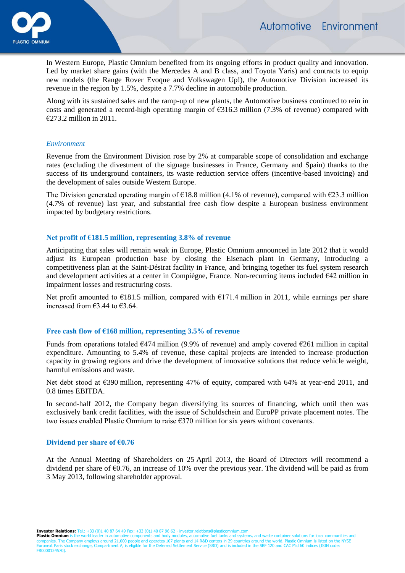

In Western Europe, Plastic Omnium benefited from its ongoing efforts in product quality and innovation. Led by market share gains (with the Mercedes A and B class, and Toyota Yaris) and contracts to equip new models (the Range Rover Evoque and Volkswagen Up!), the Automotive Division increased its revenue in the region by 1.5%, despite a 7.7% decline in automobile production.

Along with its sustained sales and the ramp-up of new plants, the Automotive business continued to rein in costs and generated a record-high operating margin of €316.3 million (7.3% of revenue) compared with €273.2 million in 2011.

### *Environment*

Revenue from the Environment Division rose by 2% at comparable scope of consolidation and exchange rates (excluding the divestment of the signage businesses in France, Germany and Spain) thanks to the success of its underground containers, its waste reduction service offers (incentive-based invoicing) and the development of sales outside Western Europe.

The Division generated operating margin of  $E18.8$  million (4.1% of revenue), compared with  $E23.3$  million (4.7% of revenue) last year, and substantial free cash flow despite a European business environment impacted by budgetary restrictions.

# **Net profit of €181.5 million, representing 3.8% of revenue**

Anticipating that sales will remain weak in Europe, Plastic Omnium announced in late 2012 that it would adjust its European production base by closing the Eisenach plant in Germany, introducing a competitiveness plan at the Saint-Désirat facility in France, and bringing together its fuel system research and development activities at a center in Compiègne, France. Non-recurring items included €42 million in impairment losses and restructuring costs.

Net profit amounted to  $\epsilon$ 181.5 million, compared with  $\epsilon$ 171.4 million in 2011, while earnings per share increased from  $\epsilon$ 3.44 to  $\epsilon$ 3.64.

### **Free cash flow of €168 million, representing 3.5% of revenue**

Funds from operations totaled  $\epsilon$ 474 million (9.9% of revenue) and amply covered  $\epsilon$ 261 million in capital expenditure. Amounting to 5.4% of revenue, these capital projects are intended to increase production capacity in growing regions and drive the development of innovative solutions that reduce vehicle weight, harmful emissions and waste.

Net debt stood at  $\epsilon$ 390 million, representing 47% of equity, compared with 64% at year-end 2011, and 0.8 times EBITDA.

In second-half 2012, the Company began diversifying its sources of financing, which until then was exclusively bank credit facilities, with the issue of Schuldschein and EuroPP private placement notes. The two issues enabled Plastic Omnium to raise  $\epsilon$ 370 million for six years without covenants.

### **Dividend per share of €0.76**

At the Annual Meeting of Shareholders on 25 April 2013, the Board of Directors will recommend a dividend per share of  $\epsilon$ 0.76, an increase of 10% over the previous year. The dividend will be paid as from 3 May 2013, following shareholder approval.

**Investor Relations:** Tel.: +33 (0)1 40 87 64 49 Fax: +33 (0)1 40 87 96 62 - investor.relations<br>**Plastic Omnium** is the world leader in automotive components and body modules, automotive

**Plastic Omnium** is the world leader in automotive components and body modules, automotive fuel tanks and systems, and waste container solutions for local communities and<br>companies. The Company employs around 21,000 people Euronext Paris stock exchange, Compartment A, is eligible for the Deferred Settlement Service (SRD) and is included in the SBF 120 and CAC Mid 60 indices (ISIN code: FR0000124570).